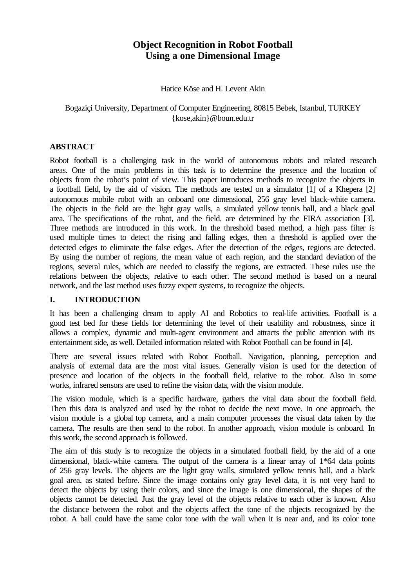# **Object Recognition in Robot Football Using a one Dimensional Image**

Hatice Köse and H. Levent Akin

# Bogaziçi University, Department of Computer Engineering, 80815 Bebek, Istanbul, TURKEY {kose,akin}@boun.edu.tr

# **ABSTRACT**

Robot football is a challenging task in the world of autonomous robots and related research areas. One of the main problems in this task is to determine the presence and the location of objects from the robot's point of view. This paper introduces methods to recognize the objects in a football field, by the aid of vision. The methods are tested on a simulator [1] of a Khepera [2] autonomous mobile robot with an onboard one dimensional, 256 gray level black-white camera. The objects in the field are the light gray walls, a simulated yellow tennis ball, and a black goal area. The specifications of the robot, and the field, are determined by the FIRA association [3]. Three methods are introduced in this work. In the threshold based method, a high pass filter is used multiple times to detect the rising and falling edges, then a threshold is applied over the detected edges to eliminate the false edges. After the detection of the edges, regions are detected. By using the number of regions, the mean value of each region, and the standard deviation of the regions, several rules, which are needed to classify the regions, are extracted. These rules use the relations between the objects, relative to each other. The second method is based on a neural network, and the last method uses fuzzy expert systems, to recognize the objects.

# **I. INTRODUCTION**

It has been a challenging dream to apply AI and Robotics to real-life activities. Football is a good test bed for these fields for determining the level of their usability and robustness, since it allows a complex, dynamic and multi-agent environment and attracts the public attention with its entertainment side, as well. Detailed information related with Robot Football can be found in [4].

There are several issues related with Robot Football. Navigation, planning, perception and analysis of external data are the most vital issues. Generally vision is used for the detection of presence and location of the objects in the football field, relative to the robot. Also in some works, infrared sensors are used to refine the vision data, with the vision module.

The vision module, which is a specific hardware, gathers the vital data about the football field. Then this data is analyzed and used by the robot to decide the next move. In one approach, the vision module is a global top camera, and a main computer processes the visual data taken by the camera. The results are then send to the robot. In another approach, vision module is onboard. In this work, the second approach is followed.

The aim of this study is to recognize the objects in a simulated football field, by the aid of a one dimensional, black-white camera. The output of the camera is a linear array of 1\*64 data points of 256 gray levels. The objects are the light gray walls, simulated yellow tennis ball, and a black goal area, as stated before. Since the image contains only gray level data, it is not very hard to detect the objects by using their colors, and since the image is one dimensional, the shapes of the objects cannot be detected. Just the gray level of the objects relative to each other is known. Also the distance between the robot and the objects affect the tone of the objects recognized by the robot. A ball could have the same color tone with the wall when it is near and, and its color tone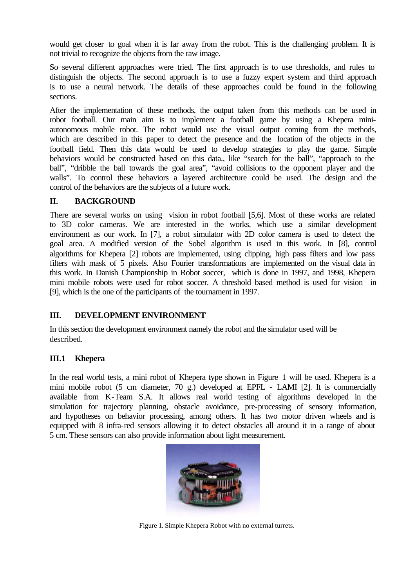would get closer to goal when it is far away from the robot. This is the challenging problem. It is not trivial to recognize the objects from the raw image.

So several different approaches were tried. The first approach is to use thresholds, and rules to distinguish the objects. The second approach is to use a fuzzy expert system and third approach is to use a neural network. The details of these approaches could be found in the following sections.

After the implementation of these methods, the output taken from this methods can be used in robot football. Our main aim is to implement a football game by using a Khepera miniautonomous mobile robot. The robot would use the visual output coming from the methods, which are described in this paper to detect the presence and the location of the objects in the football field. Then this data would be used to develop strategies to play the game. Simple behaviors would be constructed based on this data., like "search for the ball", "approach to the ball", "dribble the ball towards the goal area", "avoid collisions to the opponent player and the walls". To control these behaviors a layered architecture could be used. The design and the control of the behaviors are the subjects of a future work.

# **II. BACKGROUND**

There are several works on using vision in robot football [5,6]. Most of these works are related to 3D color cameras. We are interested in the works, which use a similar development environment as our work. In [7], a robot simulator with 2D color camera is used to detect the goal area. A modified version of the Sobel algorithm is used in this work. In [8], control algorithms for Khepera [2] robots are implemented, using clipping, high pass filters and low pass filters with mask of 5 pixels. Also Fourier transformations are implemented on the visual data in this work. In Danish Championship in Robot soccer, which is done in 1997, and 1998, Khepera mini mobile robots were used for robot soccer. A threshold based method is used for vision in [9], which is the one of the participants of the tournament in 1997.

# **III. DEVELOPMENT ENVIRONMENT**

In this section the development environment namely the robot and the simulator used will be described.

### **III.1 Khepera**

In the real world tests, a mini robot of Khepera type shown in Figure 1 will be used. Khepera is a mini mobile robot (5 cm diameter, 70 g.) developed at EPFL - LAMI [2]. It is commercially available from K-Team S.A. It allows real world testing of algorithms developed in the simulation for trajectory planning, obstacle avoidance, pre-processing of sensory information, and hypotheses on behavior processing, among others. It has two motor driven wheels and is equipped with 8 infra-red sensors allowing it to detect obstacles all around it in a range of about 5 cm. These sensors can also provide information about light measurement.



Figure 1. Simple Khepera Robot with no external turrets.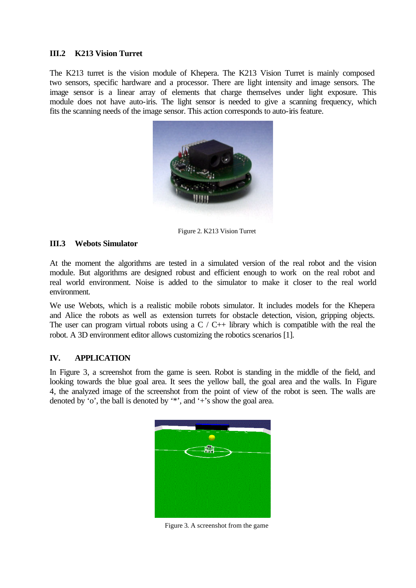### **III.2 K213 Vision Turret**

The K213 turret is the vision module of Khepera. The K213 Vision Turret is mainly composed two sensors, specific hardware and a processor. There are light intensity and image sensors. The image sensor is a linear array of elements that charge themselves under light exposure. This module does not have auto-iris. The light sensor is needed to give a scanning frequency, which fits the scanning needs of the image sensor. This action corresponds to auto-iris feature.



Figure 2. K213 Vision Turret

### **III.3 Webots Simulator**

At the moment the algorithms are tested in a simulated version of the real robot and the vision module. But algorithms are designed robust and efficient enough to work on the real robot and real world environment. Noise is added to the simulator to make it closer to the real world environment.

We use Webots, which is a realistic mobile robots simulator. It includes models for the Khepera and Alice the robots as well as extension turrets for obstacle detection, vision, gripping objects. The user can program virtual robots using a  $C / C$  + library which is compatible with the real the robot. A 3D environment editor allows customizing the robotics scenarios [1].

### **IV. APPLICATION**

In Figure 3, a screenshot from the game is seen. Robot is standing in the middle of the field, and looking towards the blue goal area. It sees the yellow ball, the goal area and the walls. In Figure 4, the analyzed image of the screenshot from the point of view of the robot is seen. The walls are denoted by 'o', the ball is denoted by '\*', and '+'s show the goal area.



Figure 3. A screenshot from the game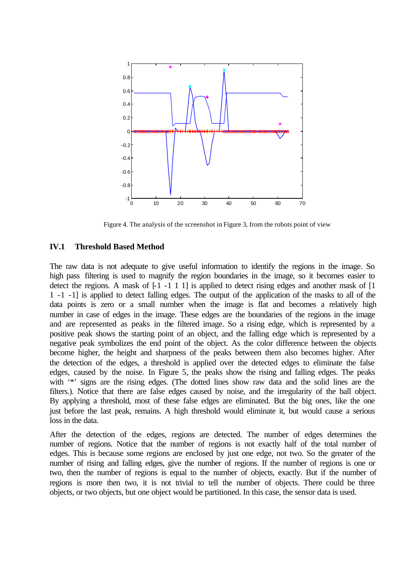

Figure 4. The analysis of the screenshot in Figure 3, from the robots point of view

#### **IV.1 Threshold Based Method**

The raw data is not adequate to give useful information to identify the regions in the image. So high pass filtering is used to magnify the region boundaries in the image, so it becomes easier to detect the regions. A mask of  $[-1, -1, 1, 1]$  is applied to detect rising edges and another mask of  $[1, -1, 1, 1]$ 1 -1 -1] is applied to detect falling edges. The output of the application of the masks to all of the data points is zero or a small number when the image is flat and becomes a relatively high number in case of edges in the image. These edges are the boundaries of the regions in the image and are represented as peaks in the filtered image. So a rising edge, which is represented by a positive peak shows the starting point of an object, and the falling edge which is represented by a negative peak symbolizes the end point of the object. As the color difference between the objects become higher, the height and sharpness of the peaks between them also becomes higher. After the detection of the edges, a threshold is applied over the detected edges to eliminate the false edges, caused by the noise. In Figure 5, the peaks show the rising and falling edges. The peaks with '\*' signs are the rising edges. (The dotted lines show raw data and the solid lines are the filters.). Notice that there are false edges caused by noise, and the irregularity of the ball object. By applying a threshold, most of these false edges are eliminated. But the big ones, like the one just before the last peak, remains. A high threshold would eliminate it, but would cause a serious loss in the data.

After the detection of the edges, regions are detected. The number of edges determines the number of regions. Notice that the number of regions is not exactly half of the total number of edges. This is because some regions are enclosed by just one edge, not two. So the greater of the number of rising and falling edges, give the number of regions. If the number of regions is one or two, then the number of regions is equal to the number of objects, exactly. But if the number of regions is more then two, it is not trivial to tell the number of objects. There could be three objects, or two objects, but one object would be partitioned. In this case, the sensor data is used.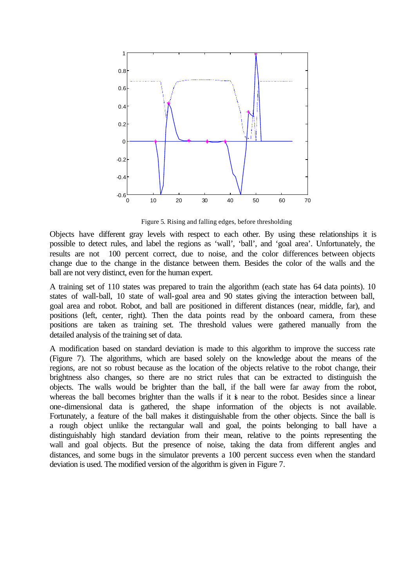

Figure 5. Rising and falling edges, before thresholding

Objects have different gray levels with respect to each other. By using these relationships it is possible to detect rules, and label the regions as 'wall', 'ball', and 'goal area'. Unfortunately, the results are not 100 percent correct, due to noise, and the color differences between objects change due to the change in the distance between them. Besides the color of the walls and the ball are not very distinct, even for the human expert.

A training set of 110 states was prepared to train the algorithm (each state has 64 data points). 10 states of wall-ball, 10 state of wall-goal area and 90 states giving the interaction between ball, goal area and robot. Robot, and ball are positioned in different distances (near, middle, far), and positions (left, center, right). Then the data points read by the onboard camera, from these positions are taken as training set. The threshold values were gathered manually from the detailed analysis of the training set of data.

A modification based on standard deviation is made to this algorithm to improve the success rate (Figure 7). The algorithms, which are based solely on the knowledge about the means of the regions, are not so robust because as the location of the objects relative to the robot change, their brightness also changes, so there are no strict rules that can be extracted to distinguish the objects. The walls would be brighter than the ball, if the ball were far away from the robot, whereas the ball becomes brighter than the walls if it is near to the robot. Besides since a linear one-dimensional data is gathered, the shape information of the objects is not available. Fortunately, a feature of the ball makes it distinguishable from the other objects. Since the ball is a rough object unlike the rectangular wall and goal, the points belonging to ball have a distinguishably high standard deviation from their mean, relative to the points representing the wall and goal objects. But the presence of noise, taking the data from different angles and distances, and some bugs in the simulator prevents a 100 percent success even when the standard deviation is used. The modified version of the algorithm is given in Figure 7.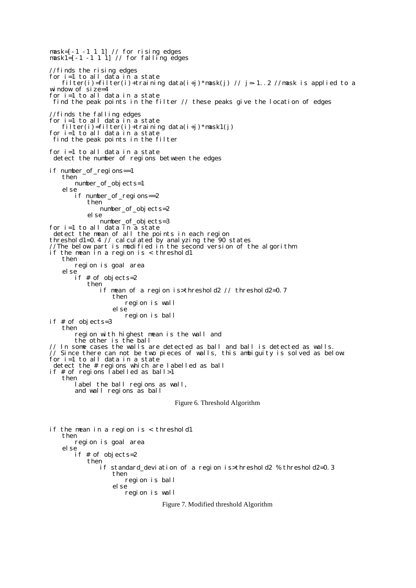mask=[-1 -1 1 1] // for rising edges mask1=[-1 -1 1 1] // for falling edges //finds the rising edges for i=1 to all data in a state filter(i)=filter(i)+training data(i+j)\*mask(j) // j=-1..2 //mask is applied to a window of size=4 for i=1 to all data in a state find the peak points in the filter // these peaks give the location of edges //finds the falling edges for i=1 to all data in a state filter(i)=filter(i)+training data(i+j)\*mask1(j) for i=1 to all data in a state find the peak points in the filter for i=1 to all data in a state detect the number of regions between the edges if number\_of\_regions==1 then number\_of\_objects=1 else if number\_of\_regions==2 then number\_of\_objects=2 else number\_of\_objects=3 for i=1 to all data in a state detect the mean of all the points in each region threshold1=0.4 // calculated by analyzing the  $90$  states //The below part is modified in the second version of the algorithm if the mean in a region is < threshold1 then region is goal area else if # of objects=2 then if mean of a region is>threshold2 // threshold2=0.7 then region is wall else region is ball if # of objects=3 then region with highest mean is the wall and the other is the ball // In some cases the walls are detected as ball and ball is detected as walls. // Since there can not be two pieces of walls, this ambiguity is solved as below: for i=1 to all data in a state detect the # regions which are labelled as ball if # of regions labelled as ball>1 then label the ball regions as wall, and wall regions as ball Figure 6. Threshold Algorithm if the mean in a region is < threshold1 then region is goal area else if # of objects=2 then if standard\_deviation of a region is>threshold2 % threshold2=0.3 then region is ball else region is wall Figure 7. Modified threshold Algorithm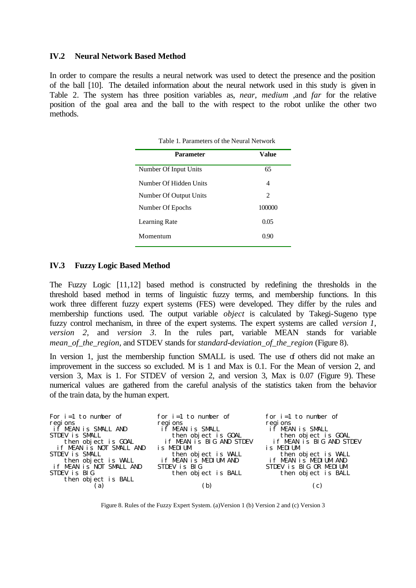#### **IV.2 Neural Network Based Method**

In order to compare the results a neural network was used to detect the presence and the position of the ball [10]. The detailed information about the neural network used in this study is given in Table 2. The system has three position variables as, *near*, *medium* ,and *far* for the relative position of the goal area and the ball to the with respect to the robot unlike the other two methods.

| Parameter              | Value          |
|------------------------|----------------|
| Number Of Input Units  | 65             |
| Number Of Hidden Units | 4              |
| Number Of Output Units | $\mathfrak{D}$ |
| Number Of Epochs       | 100000         |
| Learning Rate          | 0.05           |
| Momentum               | 0.90           |

Table 1. Parameters of the Neural Network

#### **IV.3 Fuzzy Logic Based Method**

The Fuzzy Logic [11,12] based method is constructed by redefining the thresholds in the threshold based method in terms of linguistic fuzzy terms, and membership functions. In this work three different fuzzy expert systems (FES) were developed. They differ by the rules and membership functions used. The output variable *object* is calculated by Takegi-Sugeno type fuzzy control mechanism, in three of the expert systems. The expert systems are called *version 1*, *version 2*, and *version 3*. In the rules part, variable MEAN stands for variable *mean\_of\_the\_region*, and STDEV stands for *standard-deviation\_of\_the\_region* (Figure 8).

In version 1, just the membership function SMALL is used. The use of others did not make an improvement in the success so excluded. M is 1 and Max is 0.1. For the Mean of version 2, and version 3, Max is 1. For STDEV of version 2, and version 3, Max is 0.07 (Figure 9). These numerical values are gathered from the careful analysis of the statistics taken from the behavior of the train data, by the human expert.

| For $i=1$ to number of                          | for $i=1$ to number of                          | for $i=1$ to number of                          |
|-------------------------------------------------|-------------------------------------------------|-------------------------------------------------|
| regions<br>if MEAN is SMALL AND                 | regi ons                                        | regi ons                                        |
|                                                 | if MEAN is SMALL                                | if MEAN is SMALL                                |
| STDEV is SMALL                                  | then object is GOAL<br>if MEAN is BIG AND STDEV | then object is GOAL<br>if MEAN is BIG AND STDEV |
| then object is GOAL<br>if MEAN is NOT SMALL AND |                                                 |                                                 |
|                                                 | is MEDIUM                                       | is MEDIUM                                       |
| STDEV is SMALL                                  | then object is WALL<br>if MEAN is MEDIUM AND    | then object is WALL<br>if MEAN is MEDIUM AND    |
| then object is WALL<br>if MEAN is NOT SMALL AND |                                                 |                                                 |
|                                                 | STDEV is BIG                                    | STDEV is BIG OR MEDIUM                          |
| STDEV is BIG                                    | then object is BALL                             | then object is BALL                             |
| then object is BALL                             |                                                 |                                                 |
| a)                                              | b)                                              | C)                                              |
|                                                 |                                                 |                                                 |

Figure 8. Rules of the Fuzzy Expert System. (a)Version 1 (b) Version 2 and (c) Version 3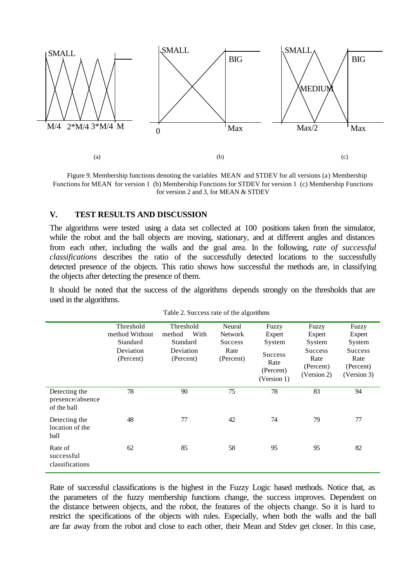

Figure 9. Membership functions denoting the variables MEAN and STDEV for all versions (a) Membership Functions for MEAN for version 1 (b) Membership Functions for STDEV for version 1 (c) Membership Functions for version 2 and 3, for MEAN & STDEV

#### **V. TEST RESULTS AND DISCUSSION**

The algorithms were tested using a data set collected at 100 positions taken from the simulator, while the robot and the ball objects are moving, stationary, and at different angles and distances from each other, including the walls and the goal area. In the following, *rate of successful classifications* describes the ratio of the successfully detected locations to the successfully detected presence of the objects. This ratio shows how successful the methods are, in classifying the objects after detecting the presence of them.

It should be noted that the success of the algorithms depends strongly on the thresholds that are used in the algorithms.

|                                                  | Threshold              | Threshold              | Neural            | Fuzzy                                              | Fuzzy                                              | Fuzzy                                              |
|--------------------------------------------------|------------------------|------------------------|-------------------|----------------------------------------------------|----------------------------------------------------|----------------------------------------------------|
|                                                  | method Without         | With<br>method         | <b>Network</b>    | Expert                                             | Expert                                             | Expert                                             |
|                                                  | Standard               | Standard               | <b>Success</b>    | System                                             | System                                             | System                                             |
|                                                  | Deviation<br>(Percent) | Deviation<br>(Percent) | Rate<br>(Percent) | <b>Success</b><br>Rate<br>(Percent)<br>(Version 1) | <b>Success</b><br>Rate<br>(Percent)<br>(Version 2) | <b>Success</b><br>Rate<br>(Percent)<br>(Version 3) |
| Detecting the<br>presence/absence<br>of the ball | 78                     | 90                     | 75                | 78                                                 | 83                                                 | 94                                                 |
| Detecting the<br>location of the<br>ball         | 48                     | 77                     | 42                | 74                                                 | 79                                                 | 77                                                 |
| Rate of<br>successful<br>classifications         | 62                     | 85                     | 58                | 95                                                 | 95                                                 | 82                                                 |

|  |  |  |  | Table 2. Success rate of the algorithms |
|--|--|--|--|-----------------------------------------|
|--|--|--|--|-----------------------------------------|

Rate of successful classifications is the highest in the Fuzzy Logic based methods. Notice that, as the parameters of the fuzzy membership functions change, the success improves. Dependent on the distance between objects, and the robot, the features of the objects change. So it is hard to restrict the specifications of the objects with rules. Especially, when both the walls and the ball are far away from the robot and close to each other, their Mean and Stdev get closer. In this case,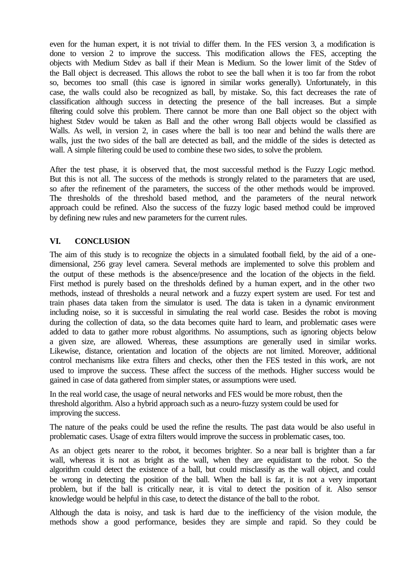even for the human expert, it is not trivial to differ them. In the FES version 3, a modification is done to version 2 to improve the success. This modification allows the FES, accepting the objects with Medium Stdev as ball if their Mean is Medium. So the lower limit of the Stdev of the Ball object is decreased. This allows the robot to see the ball when it is too far from the robot so, becomes too small (this case is ignored in similar works generally). Unfortunately, in this case, the walls could also be recognized as ball, by mistake. So, this fact decreases the rate of classification although success in detecting the presence of the ball increases. But a simple filtering could solve this problem. There cannot be more than one Ball object so the object with highest Stdev would be taken as Ball and the other wrong Ball objects would be classified as Walls. As well, in version 2, in cases where the ball is too near and behind the walls there are walls, just the two sides of the ball are detected as ball, and the middle of the sides is detected as wall. A simple filtering could be used to combine these two sides, to solve the problem.

After the test phase, it is observed that, the most successful method is the Fuzzy Logic method. But this is not all. The success of the methods is strongly related to the parameters that are used, so after the refinement of the parameters, the success of the other methods would be improved. The thresholds of the threshold based method, and the parameters of the neural network approach could be refined. Also the success of the fuzzy logic based method could be improved by defining new rules and new parameters for the current rules.

# **VI. CONCLUSION**

The aim of this study is to recognize the objects in a simulated football field, by the aid of a onedimensional, 256 gray level camera. Several methods are implemented to solve this problem and the output of these methods is the absence/presence and the location of the objects in the field. First method is purely based on the thresholds defined by a human expert, and in the other two methods, instead of thresholds a neural network and a fuzzy expert system are used. For test and train phases data taken from the simulator is used. The data is taken in a dynamic environment including noise, so it is successful in simulating the real world case. Besides the robot is moving during the collection of data, so the data becomes quite hard to learn, and problematic cases were added to data to gather more robust algorithms. No assumptions, such as ignoring objects below a given size, are allowed. Whereas, these assumptions are generally used in similar works. Likewise, distance, orientation and location of the objects are not limited. Moreover, additional control mechanisms like extra filters and checks, other then the FES tested in this work, are not used to improve the success. These affect the success of the methods. Higher success would be gained in case of data gathered from simpler states, or assumptions were used.

In the real world case, the usage of neural networks and FES would be more robust, then the threshold algorithm. Also a hybrid approach such as a neuro-fuzzy system could be used for improving the success.

The nature of the peaks could be used the refine the results. The past data would be also useful in problematic cases. Usage of extra filters would improve the success in problematic cases, too.

As an object gets nearer to the robot, it becomes brighter. So a near ball is brighter than a far wall, whereas it is not as bright as the wall, when they are equidistant to the robot. So the algorithm could detect the existence of a ball, but could misclassify as the wall object, and could be wrong in detecting the position of the ball. When the ball is far, it is not a very important problem, but if the ball is critically near, it is vital to detect the position of it. Also sensor knowledge would be helpful in this case, to detect the distance of the ball to the robot.

Although the data is noisy, and task is hard due to the inefficiency of the vision module, the methods show a good performance, besides they are simple and rapid. So they could be